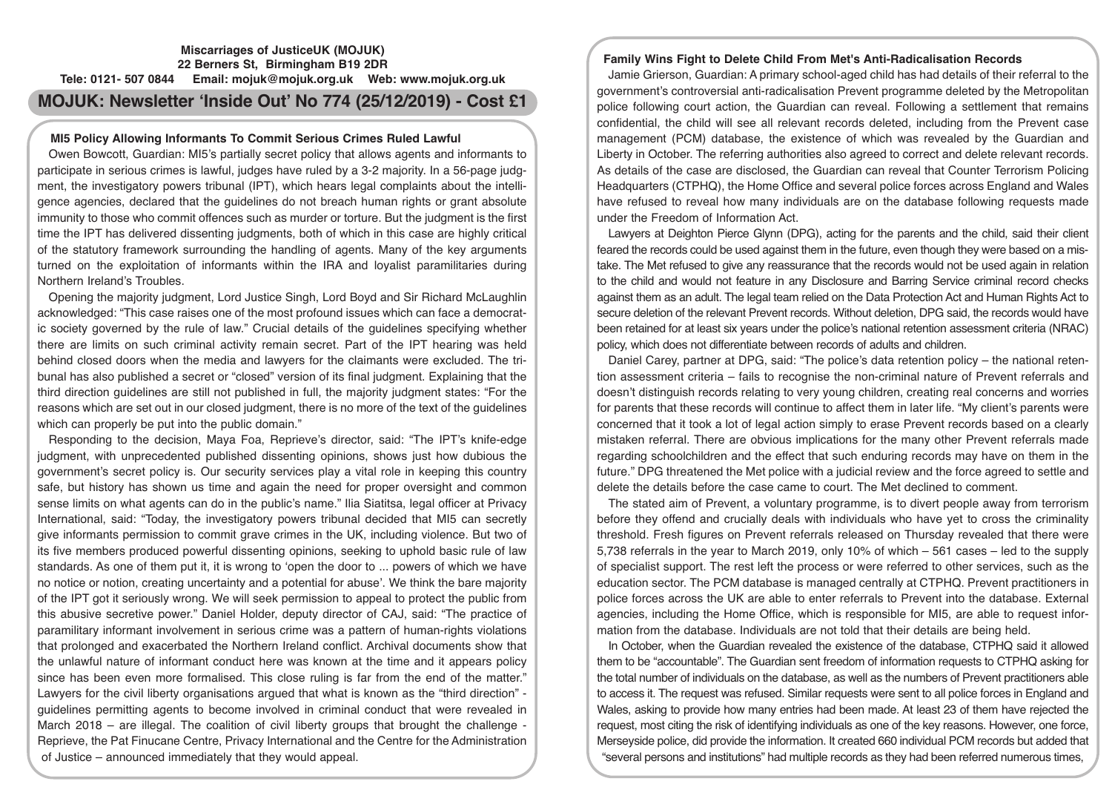## **Miscarriages of JusticeUK (MOJUK) 22 Berners St, Birmingham B19 2DR Tele: 0121- 507 0844 Email: mojuk@mojuk.org.uk Web: www.mojuk.org.uk**

# **MOJUK: Newsletter 'Inside Out' No 774 (25/12/2019) - Cost £1**

## **MI5 Policy Allowing Informants To Commit Serious Crimes Ruled Lawful**

Owen Bowcott, Guardian: MI5's partially secret policy that allows agents and informants to participate in serious crimes is lawful, judges have ruled by a 3-2 majority. In a 56-page judgment, the investigatory powers tribunal (IPT), which hears legal complaints about the intelligence agencies, declared that the guidelines do not breach human rights or grant absolute immunity to those who commit offences such as murder or torture. But the judgment is the first time the IPT has delivered dissenting judgments, both of which in this case are highly critical of the statutory framework surrounding the handling of agents. Many of the key arguments turned on the exploitation of informants within the IRA and loyalist paramilitaries during Northern Ireland's Troubles.

Opening the majority judgment, Lord Justice Singh, Lord Boyd and Sir Richard McLaughlin acknowledged: "This case raises one of the most profound issues which can face a democratic society governed by the rule of law." Crucial details of the guidelines specifying whether there are limits on such criminal activity remain secret. Part of the IPT hearing was held behind closed doors when the media and lawyers for the claimants were excluded. The tribunal has also published a secret or "closed" version of its final judgment. Explaining that the third direction guidelines are still not published in full, the majority judgment states: "For the reasons which are set out in our closed judgment, there is no more of the text of the guidelines which can properly be put into the public domain."

Responding to the decision, Maya Foa, Reprieve's director, said: "The IPT's knife-edge judgment, with unprecedented published dissenting opinions, shows just how dubious the government's secret policy is. Our security services play a vital role in keeping this country safe, but history has shown us time and again the need for proper oversight and common sense limits on what agents can do in the public's name." Ilia Siatitsa, legal officer at Privacy International, said: "Today, the investigatory powers tribunal decided that MI5 can secretly give informants permission to commit grave crimes in the UK, including violence. But two of its five members produced powerful dissenting opinions, seeking to uphold basic rule of law standards. As one of them put it, it is wrong to 'open the door to ... powers of which we have no notice or notion, creating uncertainty and a potential for abuse'. We think the bare majority of the IPT got it seriously wrong. We will seek permission to appeal to protect the public from this abusive secretive power." Daniel Holder, deputy director of CAJ, said: "The practice of paramilitary informant involvement in serious crime was a pattern of human-rights violations that prolonged and exacerbated the Northern Ireland conflict. Archival documents show that the unlawful nature of informant conduct here was known at the time and it appears policy since has been even more formalised. This close ruling is far from the end of the matter." Lawyers for the civil liberty organisations argued that what is known as the "third direction" guidelines permitting agents to become involved in criminal conduct that were revealed in March 2018 – are illegal. The coalition of civil liberty groups that brought the challenge -Reprieve, the Pat Finucane Centre, Privacy International and the Centre for the Administration of Justice – announced immediately that they would appeal.

## **Family Wins Fight to Delete Child From Met's Anti-Radicalisation Records**

Jamie Grierson, Guardian: A primary school-aged child has had details of their referral to the government's controversial anti-radicalisation Prevent programme deleted by the Metropolitan police following court action, the Guardian can reveal. Following a settlement that remains confidential, the child will see all relevant records deleted, including from the Prevent case management (PCM) database, the existence of which was revealed by the Guardian and Liberty in October. The referring authorities also agreed to correct and delete relevant records. As details of the case are disclosed, the Guardian can reveal that Counter Terrorism Policing Headquarters (CTPHQ), the Home Office and several police forces across England and Wales have refused to reveal how many individuals are on the database following requests made under the Freedom of Information Act.

Lawyers at Deighton Pierce Glynn (DPG), acting for the parents and the child, said their client feared the records could be used against them in the future, even though they were based on a mistake. The Met refused to give any reassurance that the records would not be used again in relation to the child and would not feature in any Disclosure and Barring Service criminal record checks against them as an adult. The legal team relied on the Data Protection Act and Human Rights Act to secure deletion of the relevant Prevent records. Without deletion, DPG said, the records would have been retained for at least six years under the police's national retention assessment criteria (NRAC) policy, which does not differentiate between records of adults and children.

Daniel Carey, partner at DPG, said: "The police's data retention policy – the national retention assessment criteria – fails to recognise the non-criminal nature of Prevent referrals and doesn't distinguish records relating to very young children, creating real concerns and worries for parents that these records will continue to affect them in later life. "My client's parents were concerned that it took a lot of legal action simply to erase Prevent records based on a clearly mistaken referral. There are obvious implications for the many other Prevent referrals made regarding schoolchildren and the effect that such enduring records may have on them in the future." DPG threatened the Met police with a judicial review and the force agreed to settle and delete the details before the case came to court. The Met declined to comment.

The stated aim of Prevent, a voluntary programme, is to divert people away from terrorism before they offend and crucially deals with individuals who have yet to cross the criminality threshold. Fresh figures on Prevent referrals released on Thursday revealed that there were 5,738 referrals in the year to March 2019, only 10% of which – 561 cases – led to the supply of specialist support. The rest left the process or were referred to other services, such as the education sector. The PCM database is managed centrally at CTPHQ. Prevent practitioners in police forces across the UK are able to enter referrals to Prevent into the database. External agencies, including the Home Office, which is responsible for MI5, are able to request information from the database. Individuals are not told that their details are being held.

In October, when the Guardian revealed the existence of the database, CTPHQ said it allowed them to be "accountable". The Guardian sent freedom of information requests to CTPHQ asking for the total number of individuals on the database, as well as the numbers of Prevent practitioners able to access it. The request was refused. Similar requests were sent to all police forces in England and Wales, asking to provide how many entries had been made. At least 23 of them have rejected the request, most citing the risk of identifying individuals as one of the key reasons. However, one force, Merseyside police, did provide the information. It created 660 individual PCM records but added that "several persons and institutions" had multiple records as they had been referred numerous times,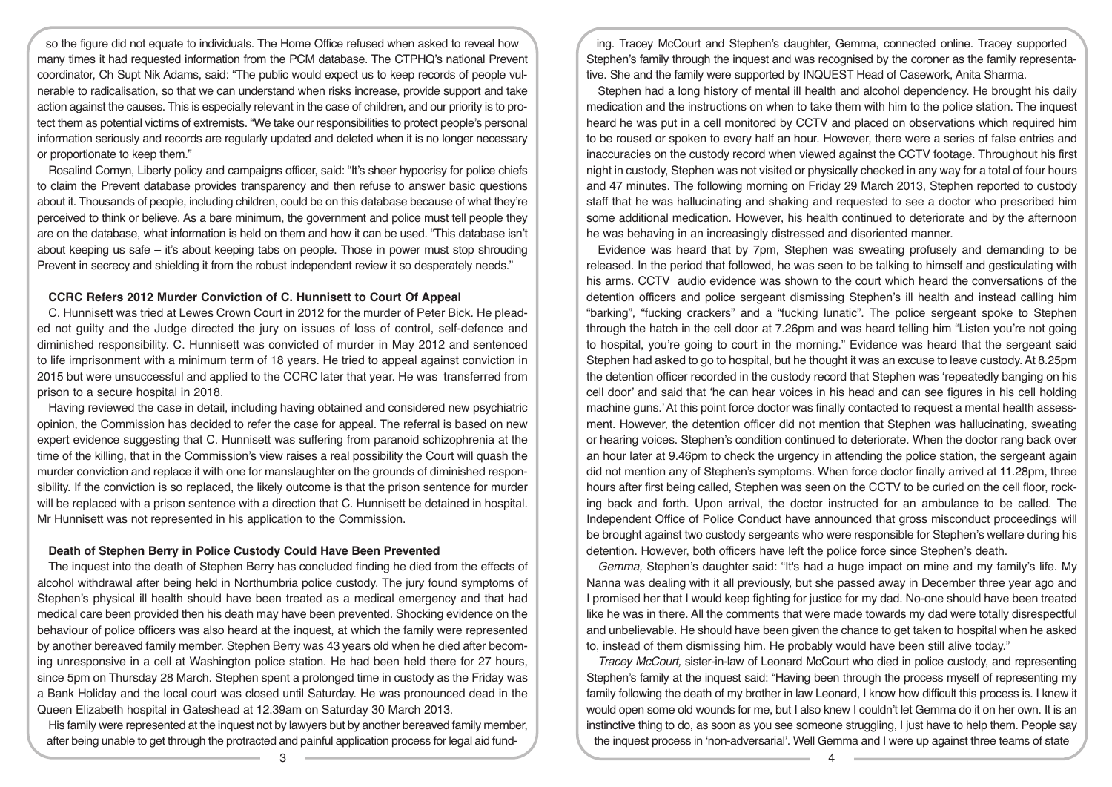so the figure did not equate to individuals. The Home Office refused when asked to reveal how many times it had requested information from the PCM database. The CTPHQ's national Prevent coordinator, Ch Supt Nik Adams, said: "The public would expect us to keep records of people vulnerable to radicalisation, so that we can understand when risks increase, provide support and take action against the causes. This is especially relevant in the case of children, and our priority is to protect them as potential victims of extremists. "We take our responsibilities to protect people's personal information seriously and records are regularly updated and deleted when it is no longer necessary or proportionate to keep them."

Rosalind Comyn, Liberty policy and campaigns officer, said: "It's sheer hypocrisy for police chiefs to claim the Prevent database provides transparency and then refuse to answer basic questions about it. Thousands of people, including children, could be on this database because of what they're perceived to think or believe. As a bare minimum, the government and police must tell people they are on the database, what information is held on them and how it can be used. "This database isn't about keeping us safe – it's about keeping tabs on people. Those in power must stop shrouding Prevent in secrecy and shielding it from the robust independent review it so desperately needs."

#### **CCRC Refers 2012 Murder Conviction of C. Hunnisett to Court Of Appeal**

C. Hunnisett was tried at Lewes Crown Court in 2012 for the murder of Peter Bick. He pleaded not guilty and the Judge directed the jury on issues of loss of control, self-defence and diminished responsibility. C. Hunnisett was convicted of murder in May 2012 and sentenced to life imprisonment with a minimum term of 18 years. He tried to appeal against conviction in 2015 but were unsuccessful and applied to the CCRC later that year. He was transferred from prison to a secure hospital in 2018.

Having reviewed the case in detail, including having obtained and considered new psychiatric opinion, the Commission has decided to refer the case for appeal. The referral is based on new expert evidence suggesting that C. Hunnisett was suffering from paranoid schizophrenia at the time of the killing, that in the Commission's view raises a real possibility the Court will quash the murder conviction and replace it with one for manslaughter on the grounds of diminished responsibility. If the conviction is so replaced, the likely outcome is that the prison sentence for murder will be replaced with a prison sentence with a direction that C. Hunnisett be detained in hospital. Mr Hunnisett was not represented in his application to the Commission.

#### **Death of Stephen Berry in Police Custody Could Have Been Prevented**

The inquest into the death of Stephen Berry has concluded finding he died from the effects of alcohol withdrawal after being held in Northumbria police custody. The jury found symptoms of Stephen's physical ill health should have been treated as a medical emergency and that had medical care been provided then his death may have been prevented. Shocking evidence on the behaviour of police officers was also heard at the inquest, at which the family were represented by another bereaved family member. Stephen Berry was 43 years old when he died after becoming unresponsive in a cell at Washington police station. He had been held there for 27 hours, since 5pm on Thursday 28 March. Stephen spent a prolonged time in custody as the Friday was a Bank Holiday and the local court was closed until Saturday. He was pronounced dead in the Queen Elizabeth hospital in Gateshead at 12.39am on Saturday 30 March 2013.

His family were represented at the inquest not by lawyers but by another bereaved family member, after being unable to get through the protracted and painful application process for legal aid fund-

ing. Tracey McCourt and Stephen's daughter, Gemma, connected online. Tracey supported Stephen's family through the inquest and was recognised by the coroner as the family representative. She and the family were supported by INQUEST Head of Casework, Anita Sharma.

Stephen had a long history of mental ill health and alcohol dependency. He brought his daily medication and the instructions on when to take them with him to the police station. The inquest heard he was put in a cell monitored by CCTV and placed on observations which required him to be roused or spoken to every half an hour. However, there were a series of false entries and inaccuracies on the custody record when viewed against the CCTV footage. Throughout his first night in custody, Stephen was not visited or physically checked in any way for a total of four hours and 47 minutes. The following morning on Friday 29 March 2013, Stephen reported to custody staff that he was hallucinating and shaking and requested to see a doctor who prescribed him some additional medication. However, his health continued to deteriorate and by the afternoon he was behaving in an increasingly distressed and disoriented manner.

Evidence was heard that by 7pm, Stephen was sweating profusely and demanding to be released. In the period that followed, he was seen to be talking to himself and gesticulating with his arms. CCTV audio evidence was shown to the court which heard the conversations of the detention officers and police sergeant dismissing Stephen's ill health and instead calling him "barking", "fucking crackers" and a "fucking lunatic". The police sergeant spoke to Stephen through the hatch in the cell door at 7.26pm and was heard telling him "Listen you're not going to hospital, you're going to court in the morning." Evidence was heard that the sergeant said Stephen had asked to go to hospital, but he thought it was an excuse to leave custody. At 8.25pm the detention officer recorded in the custody record that Stephen was 'repeatedly banging on his cell door' and said that 'he can hear voices in his head and can see figures in his cell holding machine guns.' At this point force doctor was finally contacted to request a mental health assessment. However, the detention officer did not mention that Stephen was hallucinating, sweating or hearing voices. Stephen's condition continued to deteriorate. When the doctor rang back over an hour later at 9.46pm to check the urgency in attending the police station, the sergeant again did not mention any of Stephen's symptoms. When force doctor finally arrived at 11.28pm, three hours after first being called, Stephen was seen on the CCTV to be curled on the cell floor, rocking back and forth. Upon arrival, the doctor instructed for an ambulance to be called. The Independent Office of Police Conduct have announced that gross misconduct proceedings will be brought against two custody sergeants who were responsible for Stephen's welfare during his detention. However, both officers have left the police force since Stephen's death.

Gemma, Stephen's daughter said: "It's had a huge impact on mine and my family's life. My Nanna was dealing with it all previously, but she passed away in December three year ago and I promised her that I would keep fighting for justice for my dad. No-one should have been treated like he was in there. All the comments that were made towards my dad were totally disrespectful and unbelievable. He should have been given the chance to get taken to hospital when he asked to, instead of them dismissing him. He probably would have been still alive today."

Tracey McCourt, sister-in-law of Leonard McCourt who died in police custody, and representing Stephen's family at the inquest said: "Having been through the process myself of representing my family following the death of my brother in law Leonard, I know how difficult this process is. I knew it would open some old wounds for me, but I also knew I couldn't let Gemma do it on her own. It is an instinctive thing to do, as soon as you see someone struggling, I just have to help them. People say the inquest process in 'non-adversarial'. Well Gemma and I were up against three teams of state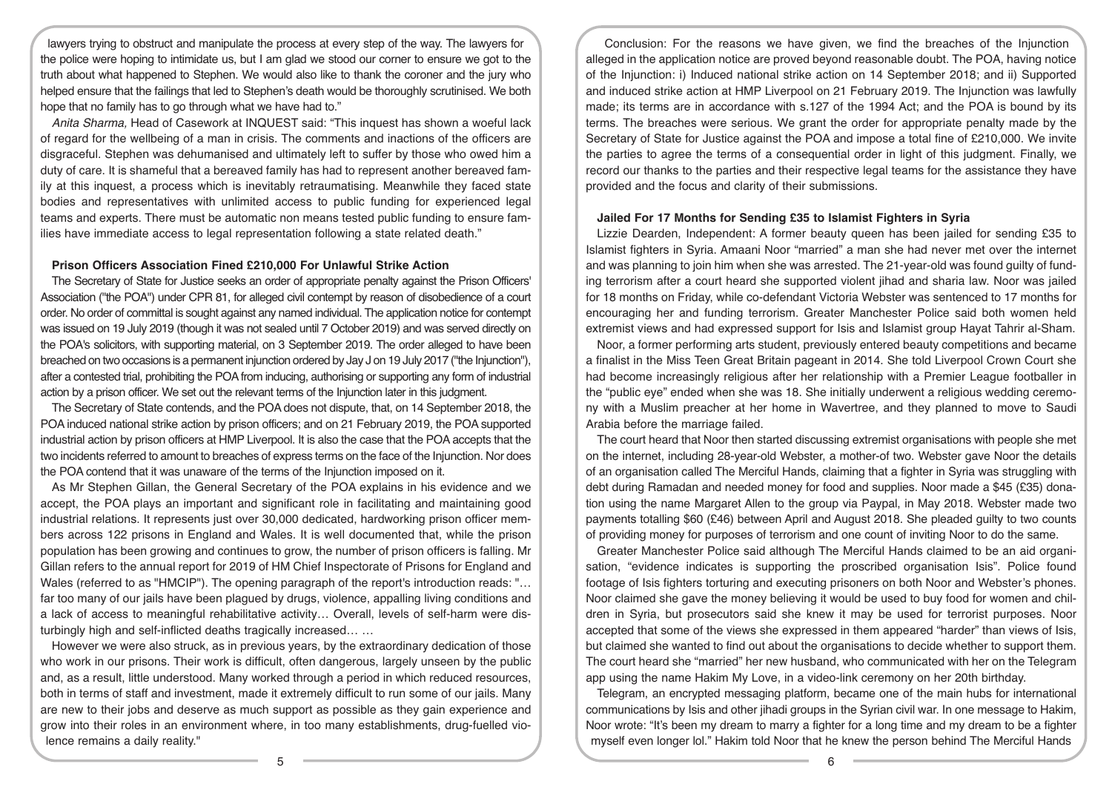lawyers trying to obstruct and manipulate the process at every step of the way. The lawyers for the police were hoping to intimidate us, but I am glad we stood our corner to ensure we got to the truth about what happened to Stephen. We would also like to thank the coroner and the jury who helped ensure that the failings that led to Stephen's death would be thoroughly scrutinised. We both hope that no family has to go through what we have had to."

Anita Sharma, Head of Casework at INQUEST said: "This inquest has shown a woeful lack of regard for the wellbeing of a man in crisis. The comments and inactions of the officers are disgraceful. Stephen was dehumanised and ultimately left to suffer by those who owed him a duty of care. It is shameful that a bereaved family has had to represent another bereaved family at this inquest, a process which is inevitably retraumatising. Meanwhile they faced state bodies and representatives with unlimited access to public funding for experienced legal teams and experts. There must be automatic non means tested public funding to ensure families have immediate access to legal representation following a state related death."

#### **Prison Officers Association Fined £210,000 For Unlawful Strike Action**

The Secretary of State for Justice seeks an order of appropriate penalty against the Prison Officers' Association ("the POA") under CPR 81, for alleged civil contempt by reason of disobedience of a court order. No order of committal is sought against any named individual. The application notice for contempt was issued on 19 July 2019 (though it was not sealed until 7 October 2019) and was served directly on the POA's solicitors, with supporting material, on 3 September 2019. The order alleged to have been breached on two occasions is a permanent injunction ordered by Jay J on 19 July 2017 ("the Injunction"), after a contested trial, prohibiting the POA from inducing, authorising or supporting any form of industrial action by a prison officer. We set out the relevant terms of the Injunction later in this judgment.

The Secretary of State contends, and the POA does not dispute, that, on 14 September 2018, the POA induced national strike action by prison officers; and on 21 February 2019, the POA supported industrial action by prison officers at HMP Liverpool. It is also the case that the POA accepts that the two incidents referred to amount to breaches of express terms on the face of the Injunction. Nor does the POA contend that it was unaware of the terms of the Injunction imposed on it.

As Mr Stephen Gillan, the General Secretary of the POA explains in his evidence and we accept, the POA plays an important and significant role in facilitating and maintaining good industrial relations. It represents just over 30,000 dedicated, hardworking prison officer members across 122 prisons in England and Wales. It is well documented that, while the prison population has been growing and continues to grow, the number of prison officers is falling. Mr Gillan refers to the annual report for 2019 of HM Chief Inspectorate of Prisons for England and Wales (referred to as "HMCIP"). The opening paragraph of the report's introduction reads: "... far too many of our jails have been plagued by drugs, violence, appalling living conditions and a lack of access to meaningful rehabilitative activity… Overall, levels of self-harm were disturbingly high and self-inflicted deaths tragically increased… …

However we were also struck, as in previous years, by the extraordinary dedication of those who work in our prisons. Their work is difficult, often dangerous, largely unseen by the public and, as a result, little understood. Many worked through a period in which reduced resources, both in terms of staff and investment, made it extremely difficult to run some of our jails. Many are new to their jobs and deserve as much support as possible as they gain experience and grow into their roles in an environment where, in too many establishments, drug-fuelled violence remains a daily reality."

Conclusion: For the reasons we have given, we find the breaches of the Injunction alleged in the application notice are proved beyond reasonable doubt. The POA, having notice of the Injunction: i) Induced national strike action on 14 September 2018; and ii) Supported and induced strike action at HMP Liverpool on 21 February 2019. The Injunction was lawfully made; its terms are in accordance with s.127 of the 1994 Act; and the POA is bound by its terms. The breaches were serious. We grant the order for appropriate penalty made by the Secretary of State for Justice against the POA and impose a total fine of £210,000. We invite the parties to agree the terms of a consequential order in light of this judgment. Finally, we record our thanks to the parties and their respective legal teams for the assistance they have provided and the focus and clarity of their submissions.

#### **Jailed For 17 Months for Sending £35 to Islamist Fighters in Syria**

Lizzie Dearden, Independent: A former beauty queen has been jailed for sending £35 to Islamist fighters in Syria. Amaani Noor "married" a man she had never met over the internet and was planning to join him when she was arrested. The 21-year-old was found guilty of funding terrorism after a court heard she supported violent jihad and sharia law. Noor was jailed for 18 months on Friday, while co-defendant Victoria Webster was sentenced to 17 months for encouraging her and funding terrorism. Greater Manchester Police said both women held extremist views and had expressed support for Isis and Islamist group Hayat Tahrir al-Sham.

Noor, a former performing arts student, previously entered beauty competitions and became a finalist in the Miss Teen Great Britain pageant in 2014. She told Liverpool Crown Court she had become increasingly religious after her relationship with a Premier League footballer in the "public eye" ended when she was 18. She initially underwent a religious wedding ceremony with a Muslim preacher at her home in Wavertree, and they planned to move to Saudi Arabia before the marriage failed.

The court heard that Noor then started discussing extremist organisations with people she met on the internet, including 28-year-old Webster, a mother-of two. Webster gave Noor the details of an organisation called The Merciful Hands, claiming that a fighter in Syria was struggling with debt during Ramadan and needed money for food and supplies. Noor made a \$45 (£35) donation using the name Margaret Allen to the group via Paypal, in May 2018. Webster made two payments totalling \$60 (£46) between April and August 2018. She pleaded guilty to two counts of providing money for purposes of terrorism and one count of inviting Noor to do the same.

Greater Manchester Police said although The Merciful Hands claimed to be an aid organisation, "evidence indicates is supporting the proscribed organisation Isis". Police found footage of Isis fighters torturing and executing prisoners on both Noor and Webster's phones. Noor claimed she gave the money believing it would be used to buy food for women and children in Syria, but prosecutors said she knew it may be used for terrorist purposes. Noor accepted that some of the views she expressed in them appeared "harder" than views of Isis, but claimed she wanted to find out about the organisations to decide whether to support them. The court heard she "married" her new husband, who communicated with her on the Telegram app using the name Hakim My Love, in a video-link ceremony on her 20th birthday.

Telegram, an encrypted messaging platform, became one of the main hubs for international communications by Isis and other jihadi groups in the Syrian civil war. In one message to Hakim, Noor wrote: "It's been my dream to marry a fighter for a long time and my dream to be a fighter myself even longer lol." Hakim told Noor that he knew the person behind The Merciful Hands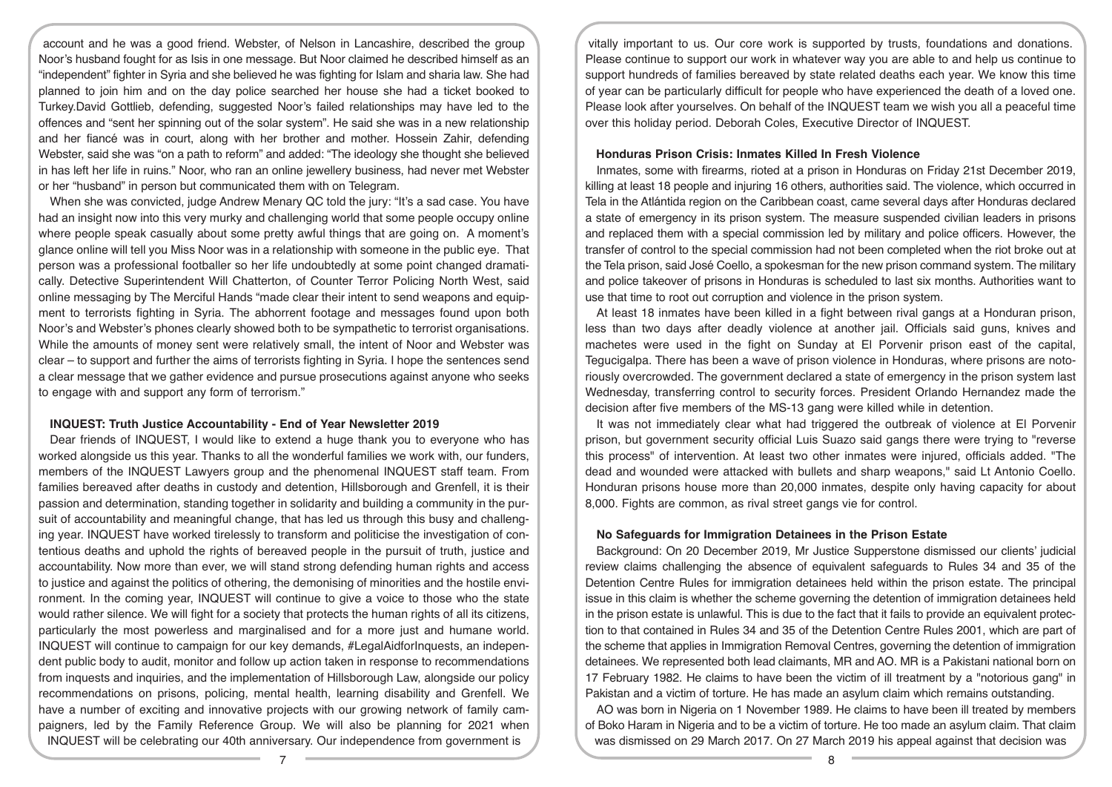account and he was a good friend. Webster, of Nelson in Lancashire, described the group Noor's husband fought for as Isis in one message. But Noor claimed he described himself as an "independent" fighter in Syria and she believed he was fighting for Islam and sharia law. She had planned to join him and on the day police searched her house she had a ticket booked to Turkey.David Gottlieb, defending, suggested Noor's failed relationships may have led to the offences and "sent her spinning out of the solar system". He said she was in a new relationship and her fiancé was in court, along with her brother and mother. Hossein Zahir, defending Webster, said she was "on a path to reform" and added: "The ideology she thought she believed in has left her life in ruins." Noor, who ran an online jewellery business, had never met Webster or her "husband" in person but communicated them with on Telegram.

When she was convicted, judge Andrew Menary QC told the jury: "It's a sad case. You have had an insight now into this very murky and challenging world that some people occupy online where people speak casually about some pretty awful things that are going on. A moment's glance online will tell you Miss Noor was in a relationship with someone in the public eye. That person was a professional footballer so her life undoubtedly at some point changed dramatically. Detective Superintendent Will Chatterton, of Counter Terror Policing North West, said online messaging by The Merciful Hands "made clear their intent to send weapons and equipment to terrorists fighting in Syria. The abhorrent footage and messages found upon both Noor's and Webster's phones clearly showed both to be sympathetic to terrorist organisations. While the amounts of money sent were relatively small, the intent of Noor and Webster was clear – to support and further the aims of terrorists fighting in Syria. I hope the sentences send a clear message that we gather evidence and pursue prosecutions against anyone who seeks to engage with and support any form of terrorism."

#### **INQUEST: Truth Justice Accountability - End of Year Newsletter 2019**

Dear friends of INQUEST, I would like to extend a huge thank you to everyone who has worked alongside us this year. Thanks to all the wonderful families we work with, our funders, members of the INQUEST Lawyers group and the phenomenal INQUEST staff team. From families bereaved after deaths in custody and detention, Hillsborough and Grenfell, it is their passion and determination, standing together in solidarity and building a community in the pursuit of accountability and meaningful change, that has led us through this busy and challenging year. INQUEST have worked tirelessly to transform and politicise the investigation of contentious deaths and uphold the rights of bereaved people in the pursuit of truth, justice and accountability. Now more than ever, we will stand strong defending human rights and access to justice and against the politics of othering, the demonising of minorities and the hostile environment. In the coming year, INQUEST will continue to give a voice to those who the state would rather silence. We will fight for a society that protects the human rights of all its citizens, particularly the most powerless and marginalised and for a more just and humane world. INQUEST will continue to campaign for our key demands, #LegalAidforInquests, an independent public body to audit, monitor and follow up action taken in response to recommendations from inquests and inquiries, and the implementation of Hillsborough Law, alongside our policy recommendations on prisons, policing, mental health, learning disability and Grenfell. We have a number of exciting and innovative projects with our growing network of family campaigners, led by the Family Reference Group. We will also be planning for 2021 when INQUEST will be celebrating our 40th anniversary. Our independence from government is

vitally important to us. Our core work is supported by trusts, foundations and donations. Please continue to support our work in whatever way you are able to and help us continue to support hundreds of families bereaved by state related deaths each year. We know this time of year can be particularly difficult for people who have experienced the death of a loved one. Please look after yourselves. On behalf of the INQUEST team we wish you all a peaceful time over this holiday period. Deborah Coles, Executive Director of INQUEST.

#### **Honduras Prison Crisis: Inmates Killed In Fresh Violence**

Inmates, some with firearms, rioted at a prison in Honduras on Friday 21st December 2019, killing at least 18 people and injuring 16 others, authorities said. The violence, which occurred in Tela in the Atlántida region on the Caribbean coast, came several days after Honduras declared a state of emergency in its prison system. The measure suspended civilian leaders in prisons and replaced them with a special commission led by military and police officers. However, the transfer of control to the special commission had not been completed when the riot broke out at the Tela prison, said José Coello, a spokesman for the new prison command system. The military and police takeover of prisons in Honduras is scheduled to last six months. Authorities want to use that time to root out corruption and violence in the prison system.

At least 18 inmates have been killed in a fight between rival gangs at a Honduran prison, less than two days after deadly violence at another jail. Officials said guns, knives and machetes were used in the fight on Sunday at El Porvenir prison east of the capital, Tegucigalpa. There has been a wave of prison violence in Honduras, where prisons are notoriously overcrowded. The government declared a state of emergency in the prison system last Wednesday, transferring control to security forces. President Orlando Hernandez made the decision after five members of the MS-13 gang were killed while in detention.

It was not immediately clear what had triggered the outbreak of violence at El Porvenir prison, but government security official Luis Suazo said gangs there were trying to "reverse this process" of intervention. At least two other inmates were injured, officials added. "The dead and wounded were attacked with bullets and sharp weapons," said Lt Antonio Coello. Honduran prisons house more than 20,000 inmates, despite only having capacity for about 8,000. Fights are common, as rival street gangs vie for control.

#### **No Safeguards for Immigration Detainees in the Prison Estate**

Background: On 20 December 2019, Mr Justice Supperstone dismissed our clients' judicial review claims challenging the absence of equivalent safeguards to Rules 34 and 35 of the Detention Centre Rules for immigration detainees held within the prison estate. The principal issue in this claim is whether the scheme governing the detention of immigration detainees held in the prison estate is unlawful. This is due to the fact that it fails to provide an equivalent protection to that contained in Rules 34 and 35 of the Detention Centre Rules 2001, which are part of the scheme that applies in Immigration Removal Centres, governing the detention of immigration detainees. We represented both lead claimants, MR and AO. MR is a Pakistani national born on 17 February 1982. He claims to have been the victim of ill treatment by a "notorious gang" in Pakistan and a victim of torture. He has made an asylum claim which remains outstanding.

AO was born in Nigeria on 1 November 1989. He claims to have been ill treated by members of Boko Haram in Nigeria and to be a victim of torture. He too made an asylum claim. That claim was dismissed on 29 March 2017. On 27 March 2019 his appeal against that decision was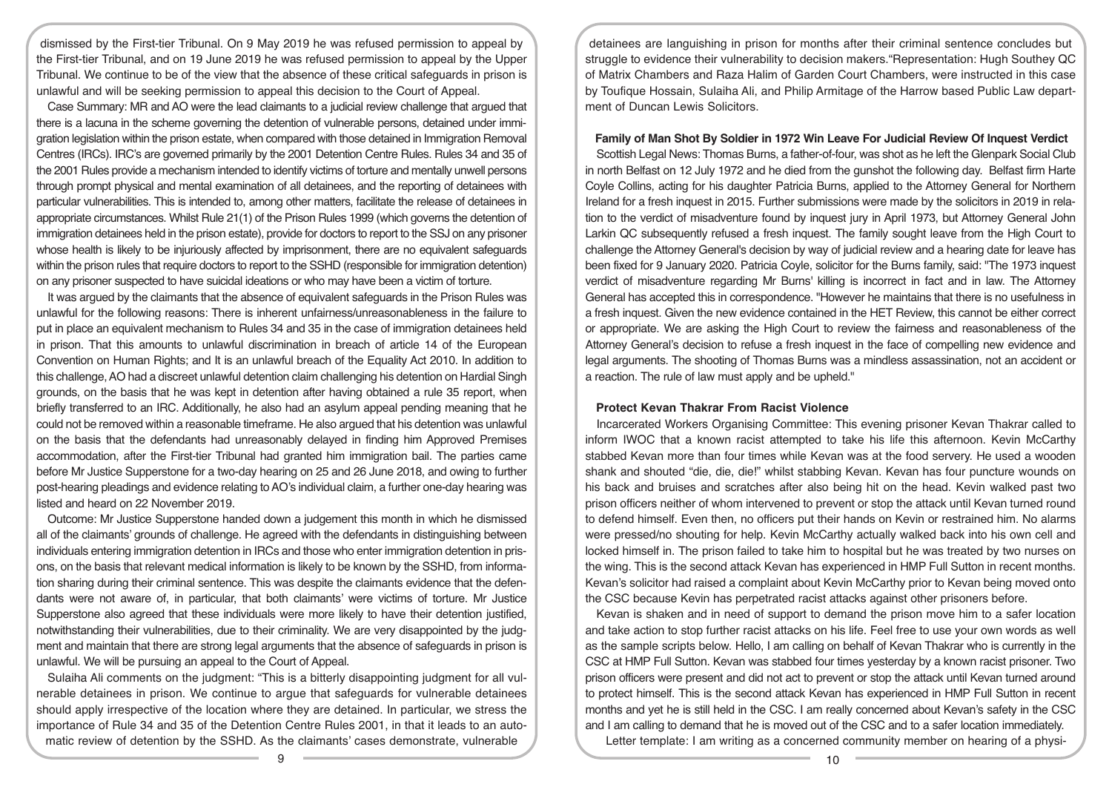dismissed by the First-tier Tribunal. On 9 May 2019 he was refused permission to appeal by the First-tier Tribunal, and on 19 June 2019 he was refused permission to appeal by the Upper Tribunal. We continue to be of the view that the absence of these critical safeguards in prison is unlawful and will be seeking permission to appeal this decision to the Court of Appeal.

Case Summary: MR and AO were the lead claimants to a judicial review challenge that argued that there is a lacuna in the scheme governing the detention of vulnerable persons, detained under immigration legislation within the prison estate, when compared with those detained in Immigration Removal Centres (IRCs). IRC's are governed primarily by the 2001 Detention Centre Rules. Rules 34 and 35 of the 2001 Rules provide a mechanism intended to identify victims of torture and mentally unwell persons through prompt physical and mental examination of all detainees, and the reporting of detainees with particular vulnerabilities. This is intended to, among other matters, facilitate the release of detainees in appropriate circumstances. Whilst Rule 21(1) of the Prison Rules 1999 (which governs the detention of immigration detainees held in the prison estate), provide for doctors to report to the SSJ on any prisoner whose health is likely to be injuriously affected by imprisonment, there are no equivalent safeguards within the prison rules that require doctors to report to the SSHD (responsible for immigration detention) on any prisoner suspected to have suicidal ideations or who may have been a victim of torture.

It was argued by the claimants that the absence of equivalent safeguards in the Prison Rules was unlawful for the following reasons: There is inherent unfairness/unreasonableness in the failure to put in place an equivalent mechanism to Rules 34 and 35 in the case of immigration detainees held in prison. That this amounts to unlawful discrimination in breach of article 14 of the European Convention on Human Rights; and It is an unlawful breach of the Equality Act 2010. In addition to this challenge, AO had a discreet unlawful detention claim challenging his detention on Hardial Singh grounds, on the basis that he was kept in detention after having obtained a rule 35 report, when briefly transferred to an IRC. Additionally, he also had an asylum appeal pending meaning that he could not be removed within a reasonable timeframe. He also argued that his detention was unlawful on the basis that the defendants had unreasonably delayed in finding him Approved Premises accommodation, after the First-tier Tribunal had granted him immigration bail. The parties came before Mr Justice Supperstone for a two-day hearing on 25 and 26 June 2018, and owing to further post-hearing pleadings and evidence relating to AO's individual claim, a further one-day hearing was listed and heard on 22 November 2019.

Outcome: Mr Justice Supperstone handed down a judgement this month in which he dismissed all of the claimants' grounds of challenge. He agreed with the defendants in distinguishing between individuals entering immigration detention in IRCs and those who enter immigration detention in prisons, on the basis that relevant medical information is likely to be known by the SSHD, from information sharing during their criminal sentence. This was despite the claimants evidence that the defendants were not aware of, in particular, that both claimants' were victims of torture. Mr Justice Supperstone also agreed that these individuals were more likely to have their detention justified, notwithstanding their vulnerabilities, due to their criminality. We are very disappointed by the judgment and maintain that there are strong legal arguments that the absence of safeguards in prison is unlawful. We will be pursuing an appeal to the Court of Appeal.

Sulaiha Ali comments on the judgment: "This is a bitterly disappointing judgment for all vulnerable detainees in prison. We continue to argue that safeguards for vulnerable detainees should apply irrespective of the location where they are detained. In particular, we stress the importance of Rule 34 and 35 of the Detention Centre Rules 2001, in that it leads to an automatic review of detention by the SSHD. As the claimants' cases demonstrate, vulnerable

detainees are languishing in prison for months after their criminal sentence concludes but struggle to evidence their vulnerability to decision makers."Representation: Hugh Southey QC of Matrix Chambers and Raza Halim of Garden Court Chambers, were instructed in this case by Toufique Hossain, Sulaiha Ali, and Philip Armitage of the Harrow based Public Law department of Duncan Lewis Solicitors.

 **Family of Man Shot By Soldier in 1972 Win Leave For Judicial Review Of Inquest Verdict** 

Scottish Legal News: Thomas Burns, a father-of-four, was shot as he left the Glenpark Social Club in north Belfast on 12 July 1972 and he died from the gunshot the following day. Belfast firm Harte Coyle Collins, acting for his daughter Patricia Burns, applied to the Attorney General for Northern Ireland for a fresh inquest in 2015. Further submissions were made by the solicitors in 2019 in relation to the verdict of misadventure found by inquest jury in April 1973, but Attorney General John Larkin QC subsequently refused a fresh inquest. The family sought leave from the High Court to challenge the Attorney General's decision by way of judicial review and a hearing date for leave has been fixed for 9 January 2020. Patricia Coyle, solicitor for the Burns family, said: "The 1973 inquest verdict of misadventure regarding Mr Burns' killing is incorrect in fact and in law. The Attorney General has accepted this in correspondence. "However he maintains that there is no usefulness in a fresh inquest. Given the new evidence contained in the HET Review, this cannot be either correct or appropriate. We are asking the High Court to review the fairness and reasonableness of the Attorney General's decision to refuse a fresh inquest in the face of compelling new evidence and legal arguments. The shooting of Thomas Burns was a mindless assassination, not an accident or a reaction. The rule of law must apply and be upheld."

## **Protect Kevan Thakrar From Racist Violence**

Incarcerated Workers Organising Committee: This evening prisoner Kevan Thakrar called to inform IWOC that a known racist attempted to take his life this afternoon. Kevin McCarthy stabbed Kevan more than four times while Kevan was at the food servery. He used a wooden shank and shouted "die, die, die!" whilst stabbing Kevan. Kevan has four puncture wounds on his back and bruises and scratches after also being hit on the head. Kevin walked past two prison officers neither of whom intervened to prevent or stop the attack until Kevan turned round to defend himself. Even then, no officers put their hands on Kevin or restrained him. No alarms were pressed/no shouting for help. Kevin McCarthy actually walked back into his own cell and locked himself in. The prison failed to take him to hospital but he was treated by two nurses on the wing. This is the second attack Kevan has experienced in HMP Full Sutton in recent months. Kevan's solicitor had raised a complaint about Kevin McCarthy prior to Kevan being moved onto the CSC because Kevin has perpetrated racist attacks against other prisoners before.

Kevan is shaken and in need of support to demand the prison move him to a safer location and take action to stop further racist attacks on his life. Feel free to use your own words as well as the sample scripts below. Hello, I am calling on behalf of Kevan Thakrar who is currently in the CSC at HMP Full Sutton. Kevan was stabbed four times yesterday by a known racist prisoner. Two prison officers were present and did not act to prevent or stop the attack until Kevan turned around to protect himself. This is the second attack Kevan has experienced in HMP Full Sutton in recent months and yet he is still held in the CSC. I am really concerned about Kevan's safety in the CSC and I am calling to demand that he is moved out of the CSC and to a safer location immediately.

Letter template: I am writing as a concerned community member on hearing of a physi-